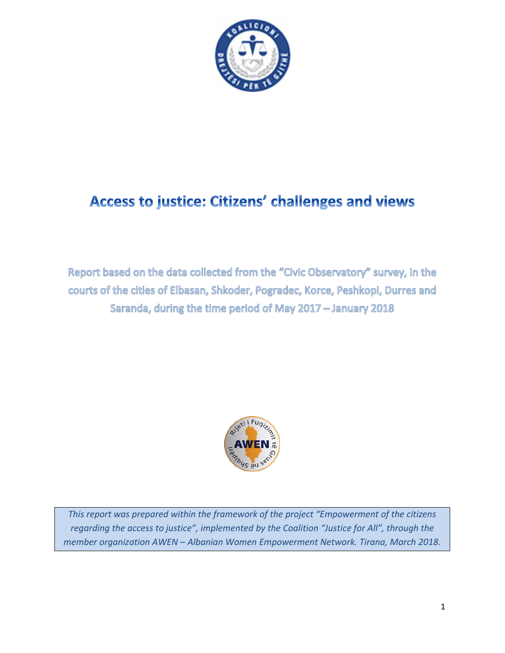

# **Access to justice: Citizens' challenges and views**

Report based on the data collected from the "Civic Observatory" survey, in the courts of the cities of Elbasan, Shkoder, Pogradec, Korce, Peshkopi, Durres and Saranda, during the time period of May 2017 - January 2018



*This report was prepared within the framework of the project "Empowerment of the citizens regarding the access to justice", implemented by the Coalition "Justice for All", through the member organization AWEN – Albanian Women Empowerment Network. Tirana, March 2018.*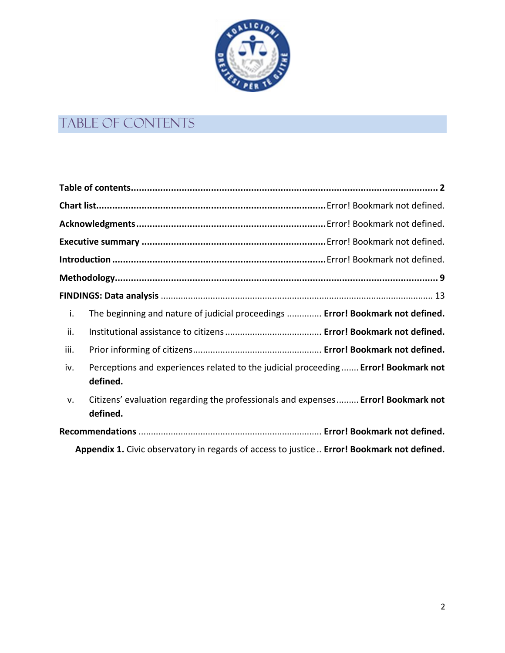

# <span id="page-1-0"></span>Table of contents

| i.                                                                                          | The beginning and nature of judicial proceedings  Error! Bookmark not defined.                  |  |  |
|---------------------------------------------------------------------------------------------|-------------------------------------------------------------------------------------------------|--|--|
| ii.                                                                                         |                                                                                                 |  |  |
| iii.                                                                                        |                                                                                                 |  |  |
| iv.                                                                                         | Perceptions and experiences related to the judicial proceeding  Error! Bookmark not<br>defined. |  |  |
| v.                                                                                          | Citizens' evaluation regarding the professionals and expenses Error! Bookmark not<br>defined.   |  |  |
|                                                                                             |                                                                                                 |  |  |
| Appendix 1. Civic observatory in regards of access to justice  Error! Bookmark not defined. |                                                                                                 |  |  |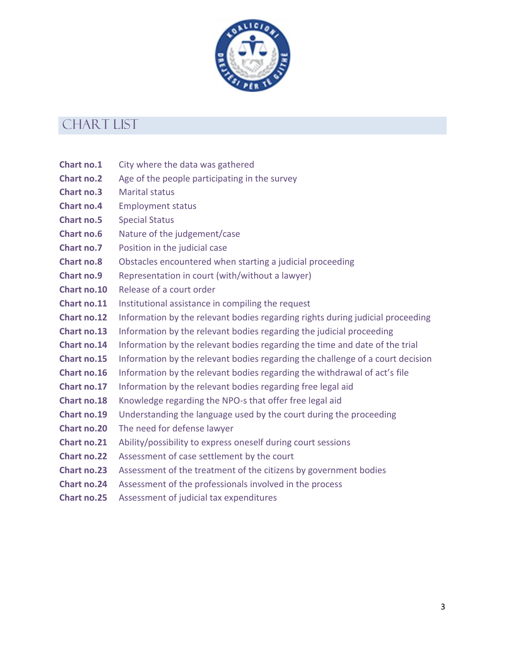

### CHART LIST

- **Chart no.1** City where the data was gathered
- **Chart no.2** Age of the people participating in the survey
- **Chart no.3** Marital status
- **Chart no.4** Employment status
- **Chart no.5** Special Status
- **Chart no.6** Nature of the judgement/case
- **Chart no.7** Position in the judicial case
- **Chart no.8** Obstacles encountered when starting a judicial proceeding
- **Chart no.9** Representation in court (with/without a lawyer)
- **Chart no.10** Release of a court order
- **Chart no.11** Institutional assistance in compiling the request
- **Chart no.12** Information by the relevant bodies regarding rights during judicial proceeding
- **Chart no.13** Information by the relevant bodies regarding the judicial proceeding
- **Chart no.14** Information by the relevant bodies regarding the time and date of the trial
- **Chart no.15** Information by the relevant bodies regarding the challenge of a court decision
- **Chart no.16** Information by the relevant bodies regarding the withdrawal of act's file
- **Chart no.17** Information by the relevant bodies regarding free legal aid
- **Chart no.18** Knowledge regarding the NPO-s that offer free legal aid
- **Chart no.19** Understanding the language used by the court during the proceeding
- **Chart no.20** The need for defense lawyer
- **Chart no.21** Ability/possibility to express oneself during court sessions
- **Chart no.22** Assessment of case settlement by the court
- **Chart no.23** Assessment of the treatment of the citizens by government bodies
- **Chart no.24** Assessment of the professionals involved in the process
- **Chart no.25** Assessment of judicial tax expenditures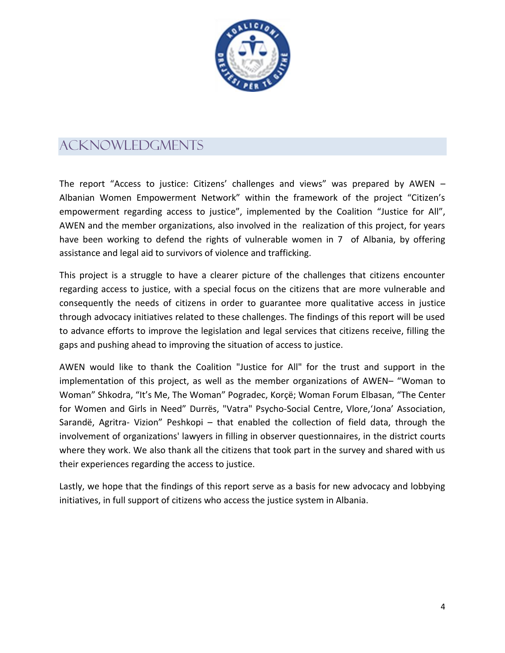

## acknowledgments

The report "Access to justice: Citizens' challenges and views" was prepared by AWEN – Albanian Women Empowerment Network" within the framework of the project "Citizen's empowerment regarding access to justice", implemented by the Coalition "Justice for All", AWEN and the member organizations, also involved in the realization of this project, for years have been working to defend the rights of vulnerable women in 7 of Albania, by offering assistance and legal aid to survivors of violence and trafficking.

This project is a struggle to have a clearer picture of the challenges that citizens encounter regarding access to justice, with a special focus on the citizens that are more vulnerable and consequently the needs of citizens in order to guarantee more qualitative access in justice through advocacy initiatives related to these challenges. The findings of this report will be used to advance efforts to improve the legislation and legal services that citizens receive, filling the gaps and pushing ahead to improving the situation of access to justice.

AWEN would like to thank the Coalition "Justice for All" for the trust and support in the implementation of this project, as well as the member organizations of AWEN– "Woman to Woman" Shkodra, "It's Me, The Woman" Pogradec, Korçë; Woman Forum Elbasan, "The Center for Women and Girls in Need" Durrës, "Vatra" Psycho-Social Centre, Vlore,'Jona' Association, Sarandë, Agritra- Vizion" Peshkopi – that enabled the collection of field data, through the involvement of organizations' lawyers in filling in observer questionnaires, in the district courts where they work. We also thank all the citizens that took part in the survey and shared with us their experiences regarding the access to justice.

Lastly, we hope that the findings of this report serve as a basis for new advocacy and lobbying initiatives, in full support of citizens who access the justice system in Albania.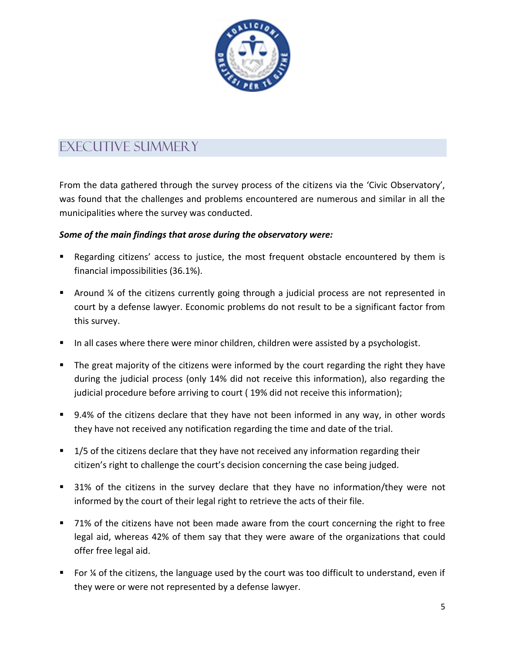

## EXECUTIVE SUMMERY

From the data gathered through the survey process of the citizens via the 'Civic Observatory', was found that the challenges and problems encountered are numerous and similar in all the municipalities where the survey was conducted.

#### *Some of the main findings that arose during the observatory were:*

- Regarding citizens' access to justice, the most frequent obstacle encountered by them is financial impossibilities (36.1%).
- **•** Around  $\frac{1}{4}$  of the citizens currently going through a judicial process are not represented in court by a defense lawyer. Economic problems do not result to be a significant factor from this survey.
- In all cases where there were minor children, children were assisted by a psychologist.
- The great majority of the citizens were informed by the court regarding the right they have during the judicial process (only 14% did not receive this information), also regarding the judicial procedure before arriving to court ( 19% did not receive this information);
- 9.4% of the citizens declare that they have not been informed in any way, in other words they have not received any notification regarding the time and date of the trial.
- **1/5 of the citizens declare that they have not received any information regarding their** citizen's right to challenge the court's decision concerning the case being judged.
- 31% of the citizens in the survey declare that they have no information/they were not informed by the court of their legal right to retrieve the acts of their file.
- 71% of the citizens have not been made aware from the court concerning the right to free legal aid, whereas 42% of them say that they were aware of the organizations that could offer free legal aid.
- For ¼ of the citizens, the language used by the court was too difficult to understand, even if they were or were not represented by a defense lawyer.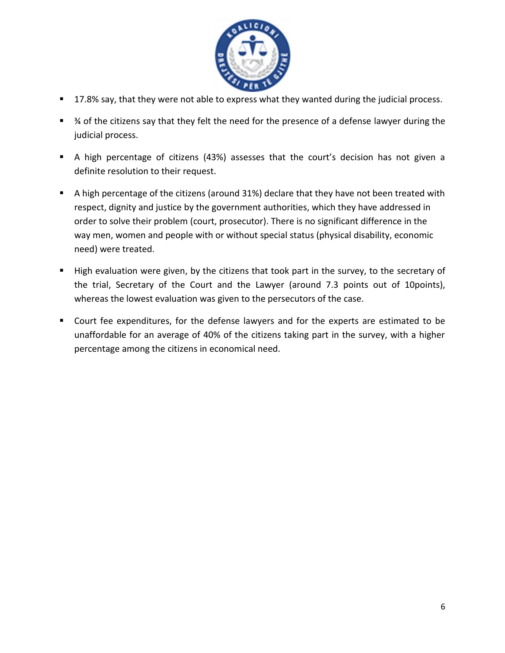

- 17.8% say, that they were not able to express what they wanted during the judicial process.
- <sup>3</sup>⁄4 of the citizens say that they felt the need for the presence of a defense lawyer during the judicial process.
- A high percentage of citizens (43%) assesses that the court's decision has not given a definite resolution to their request.
- A high percentage of the citizens (around 31%) declare that they have not been treated with respect, dignity and justice by the government authorities, which they have addressed in order to solve their problem (court, prosecutor). There is no significant difference in the way men, women and people with or without special status (physical disability, economic need) were treated.
- High evaluation were given, by the citizens that took part in the survey, to the secretary of the trial, Secretary of the Court and the Lawyer (around 7.3 points out of 10points), whereas the lowest evaluation was given to the persecutors of the case.
- Court fee expenditures, for the defense lawyers and for the experts are estimated to be unaffordable for an average of 40% of the citizens taking part in the survey, with a higher percentage among the citizens in economical need.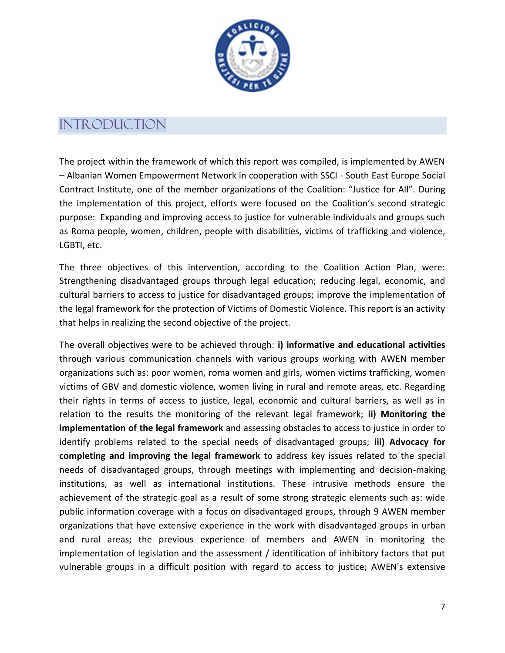

### **INTRODUCTION**

The project within the framework of which this report was compiled, is implemented by AWEN – Albanian Women Empowerment Network in cooperation with SSCI - South East Europe Social Contract Institute, one of the member organizations of the Coalition: "Justice for All". During the implementation of this project, efforts were focused on the Coalition's second strategic purpose: Expanding and improving access to justice for vulnerable individuals and groups such as Roma people, women, children, people with disabilities, victims of trafficking and violence, LGBTI, etc.

The three objectives of this intervention, according to the Coalition Action Plan, were: Strengthening disadvantaged groups through legal education; reducing legal, economic, and cultural barriers to access to justice for disadvantaged groups; improve the implementation of the legal framework for the protection of Victims of Domestic Violence. This report is an activity that helps in realizing the second objective of the project.

The overall objectives were to be achieved through: **i) informative and educational activities** through various communication channels with various groups working with AWEN member organizations such as: poor women, roma women and girls, women victims trafficking, women victims of GBV and domestic violence, women living in rural and remote areas, etc. Regarding their rights in terms of access to justice, legal, economic and cultural barriers, as well as in relation to the results the monitoring of the relevant legal framework; **ii) Monitoring the implementation of the legal framework** and assessing obstacles to access to justice in order to identify problems related to the special needs of disadvantaged groups; **iii) Advocacy for completing and improving the legal framework** to address key issues related to the special needs of disadvantaged groups, through meetings with implementing and decision-making institutions, as well as international institutions. These intrusive methods ensure the achievement of the strategic goal as a result of some strong strategic elements such as: wide public information coverage with a focus on disadvantaged groups, through 9 AWEN member organizations that have extensive experience in the work with disadvantaged groups in urban and rural areas; the previous experience of members and AWEN in monitoring the implementation of legislation and the assessment / identification of inhibitory factors that put vulnerable groups in a difficult position with regard to access to justice; AWEN's extensive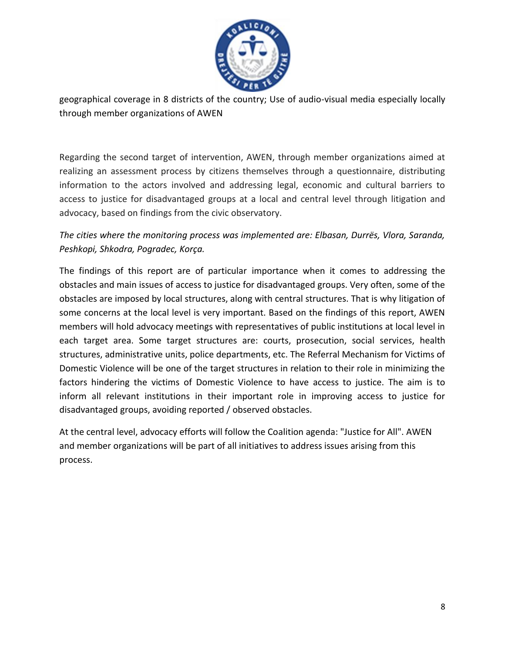

geographical coverage in 8 districts of the country; Use of audio-visual media especially locally through member organizations of AWEN

Regarding the second target of intervention, AWEN, through member organizations aimed at realizing an assessment process by citizens themselves through a questionnaire, distributing information to the actors involved and addressing legal, economic and cultural barriers to access to justice for disadvantaged groups at a local and central level through litigation and advocacy, based on findings from the civic observatory.

*The cities where the monitoring process was implemented are: Elbasan, Durrës, Vlora, Saranda, Peshkopi, Shkodra, Pogradec, Korça.*

The findings of this report are of particular importance when it comes to addressing the obstacles and main issues of access to justice for disadvantaged groups. Very often, some of the obstacles are imposed by local structures, along with central structures. That is why litigation of some concerns at the local level is very important. Based on the findings of this report, AWEN members will hold advocacy meetings with representatives of public institutions at local level in each target area. Some target structures are: courts, prosecution, social services, health structures, administrative units, police departments, etc. The Referral Mechanism for Victims of Domestic Violence will be one of the target structures in relation to their role in minimizing the factors hindering the victims of Domestic Violence to have access to justice. The aim is to inform all relevant institutions in their important role in improving access to justice for disadvantaged groups, avoiding reported / observed obstacles.

At the central level, advocacy efforts will follow the Coalition agenda: "Justice for All". AWEN and member organizations will be part of all initiatives to address issues arising from this process.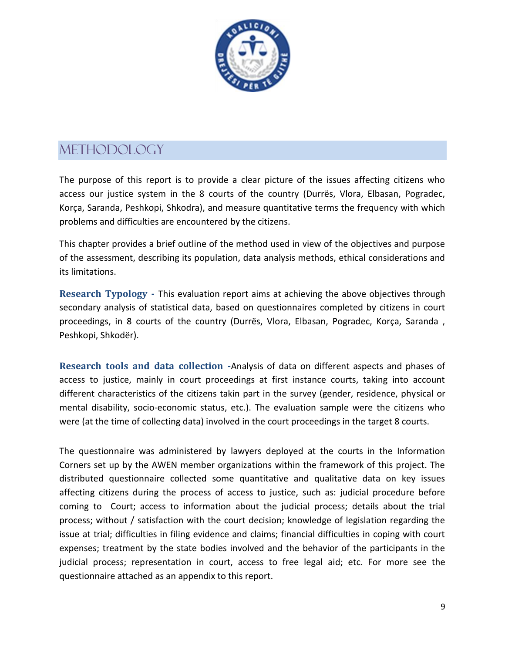

## <span id="page-8-0"></span>**METHODOLOGY**

The purpose of this report is to provide a clear picture of the issues affecting citizens who access our justice system in the 8 courts of the country (Durrës, Vlora, Elbasan, Pogradec, Korça, Saranda, Peshkopi, Shkodra), and measure quantitative terms the frequency with which problems and difficulties are encountered by the citizens.

This chapter provides a brief outline of the method used in view of the objectives and purpose of the assessment, describing its population, data analysis methods, ethical considerations and its limitations.

**Research Typology -** This evaluation report aims at achieving the above objectives through secondary analysis of statistical data, based on questionnaires completed by citizens in court proceedings, in 8 courts of the country (Durrës, Vlora, Elbasan, Pogradec, Korça, Saranda , Peshkopi, Shkodër).

**Research tools and data collection -**Analysis of data on different aspects and phases of access to justice, mainly in court proceedings at first instance courts, taking into account different characteristics of the citizens takin part in the survey (gender, residence, physical or mental disability, socio-economic status, etc.). The evaluation sample were the citizens who were (at the time of collecting data) involved in the court proceedings in the target 8 courts.

The questionnaire was administered by lawyers deployed at the courts in the Information Corners set up by the AWEN member organizations within the framework of this project. The distributed questionnaire collected some quantitative and qualitative data on key issues affecting citizens during the process of access to justice, such as: judicial procedure before coming to Court; access to information about the judicial process; details about the trial process; without / satisfaction with the court decision; knowledge of legislation regarding the issue at trial; difficulties in filing evidence and claims; financial difficulties in coping with court expenses; treatment by the state bodies involved and the behavior of the participants in the judicial process; representation in court, access to free legal aid; etc. For more see the questionnaire attached as an appendix to this report.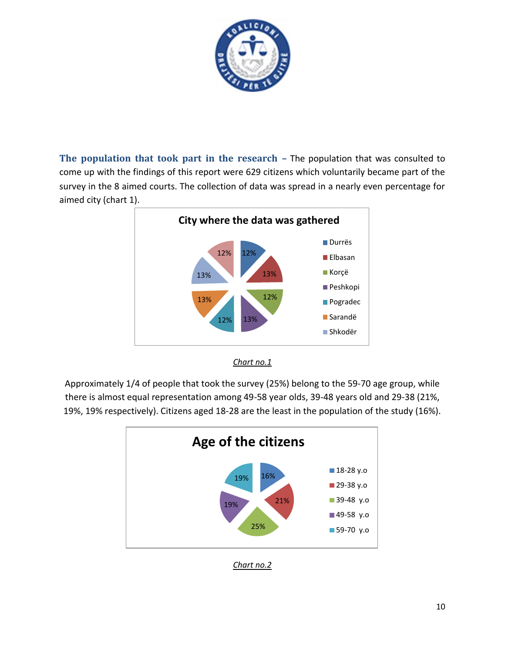

**The population that took part in the research –** The population that was consulted to come up with the findings of this report were 629 citizens which voluntarily became part of the survey in the 8 aimed courts. The collection of data was spread in a nearly even percentage for aimed city (chart 1).



*Chart no.1* 

Approximately 1/4 of people that took the survey (25%) belong to the 59-70 age group, while there is almost equal representation among 49-58 year olds, 39-48 years old and 29-38 (21%, 19%, 19% respectively). Citizens aged 18-28 are the least in the population of the study (16%).



*Chart no.2*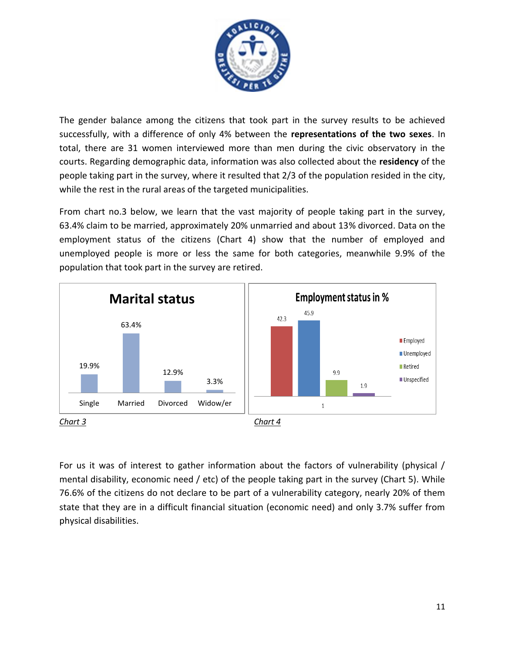

The gender balance among the citizens that took part in the survey results to be achieved successfully, with a difference of only 4% between the **representations of the two sexes**. In total, there are 31 women interviewed more than men during the civic observatory in the courts. Regarding demographic data, information was also collected about the **residency** of the people taking part in the survey, where it resulted that 2/3 of the population resided in the city, while the rest in the rural areas of the targeted municipalities.

From chart no.3 below, we learn that the vast majority of people taking part in the survey, 63.4% claim to be married, approximately 20% unmarried and about 13% divorced. Data on the employment status of the citizens (Chart 4) show that the number of employed and unemployed people is more or less the same for both categories, meanwhile 9.9% of the population that took part in the survey are retired.



For us it was of interest to gather information about the factors of vulnerability (physical / mental disability, economic need / etc) of the people taking part in the survey (Chart 5). While 76.6% of the citizens do not declare to be part of a vulnerability category, nearly 20% of them state that they are in a difficult financial situation (economic need) and only 3.7% suffer from physical disabilities.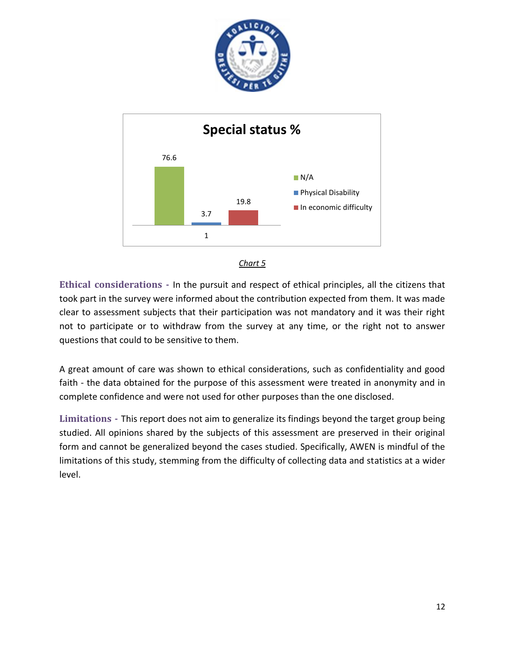





**Ethical considerations -** In the pursuit and respect of ethical principles, all the citizens that took part in the survey were informed about the contribution expected from them. It was made clear to assessment subjects that their participation was not mandatory and it was their right not to participate or to withdraw from the survey at any time, or the right not to answer questions that could to be sensitive to them.

A great amount of care was shown to ethical considerations, such as confidentiality and good faith - the data obtained for the purpose of this assessment were treated in anonymity and in complete confidence and were not used for other purposes than the one disclosed.

**Limitations -** This report does not aim to generalize its findings beyond the target group being studied. All opinions shared by the subjects of this assessment are preserved in their original form and cannot be generalized beyond the cases studied. Specifically, AWEN is mindful of the limitations of this study, stemming from the difficulty of collecting data and statistics at a wider level.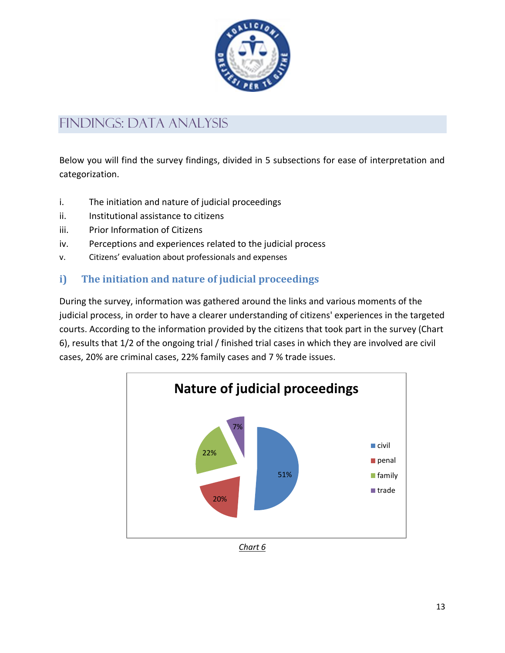

## <span id="page-12-0"></span>findings: data analysis

Below you will find the survey findings, divided in 5 subsections for ease of interpretation and categorization.

- i. The initiation and nature of judicial proceedings
- ii. Institutional assistance to citizens
- iii. Prior Information of Citizens
- iv. Perceptions and experiences related to the judicial process
- v. Citizens' evaluation about professionals and expenses

### **i) The initiation and nature of judicial proceedings**

During the survey, information was gathered around the links and various moments of the judicial process, in order to have a clearer understanding of citizens' experiences in the targeted courts. According to the information provided by the citizens that took part in the survey (Chart 6), results that 1/2 of the ongoing trial / finished trial cases in which they are involved are civil cases, 20% are criminal cases, 22% family cases and 7 % trade issues.



*Chart 6*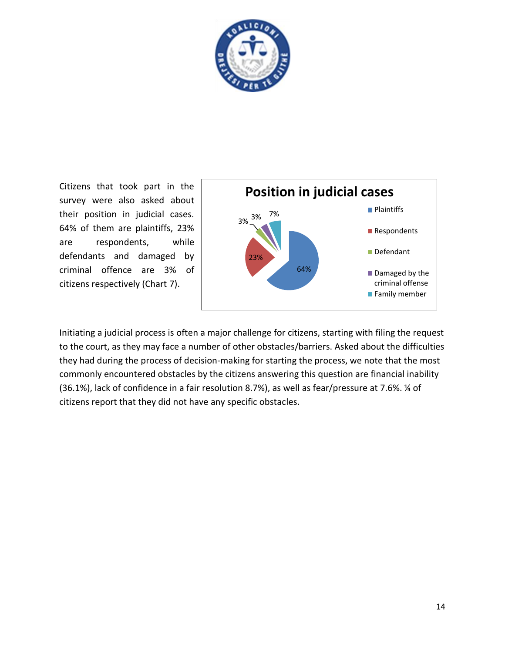

Citizens that took part in the survey were also asked about their position in judicial cases. 64% of them are plaintiffs, 23% are respondents, while defendants and damaged by criminal offence are 3% of citizens respectively (Chart 7).



Initiating a judicial process is often a major challenge for citizens, starting with filing the request to the court, as they may face a number of other obstacles/barriers. Asked about the difficulties they had during the process of decision-making for starting the process, we note that the most commonly encountered obstacles by the citizens answering this question are financial inability (36.1%), lack of confidence in a fair resolution 8.7%), as well as fear/pressure at 7.6%. ¼ of citizens report that they did not have any specific obstacles.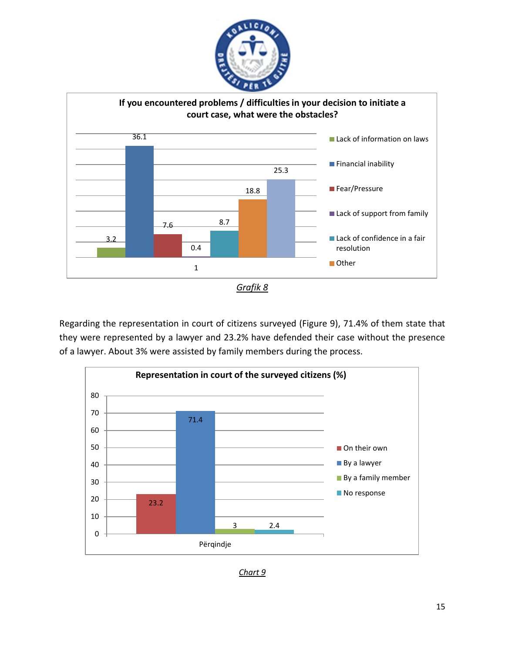



Regarding the representation in court of citizens surveyed (Figure 9), 71.4% of them state that they were represented by a lawyer and 23.2% have defended their case without the presence of a lawyer. About 3% were assisted by family members during the process.



*Chart 9*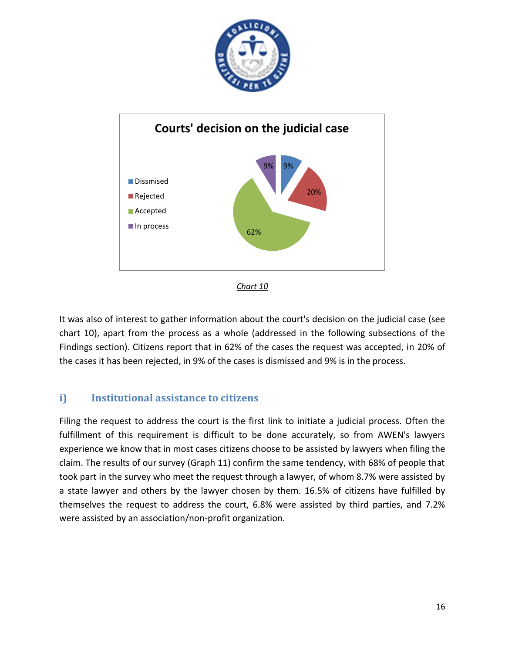





It was also of interest to gather information about the court's decision on the judicial case (see chart 10), apart from the process as a whole (addressed in the following subsections of the Findings section). Citizens report that in 62% of the cases the request was accepted, in 20% of the cases it has been rejected, in 9% of the cases is dismissed and 9% is in the process.

### **i) Institutional assistance to citizens**

Filing the request to address the court is the first link to initiate a judicial process. Often the fulfillment of this requirement is difficult to be done accurately, so from AWEN's lawyers experience we know that in most cases citizens choose to be assisted by lawyers when filing the claim. The results of our survey (Graph 11) confirm the same tendency, with 68% of people that took part in the survey who meet the request through a lawyer, of whom 8.7% were assisted by a state lawyer and others by the lawyer chosen by them. 16.5% of citizens have fulfilled by themselves the request to address the court, 6.8% were assisted by third parties, and 7.2% were assisted by an association/non-profit organization.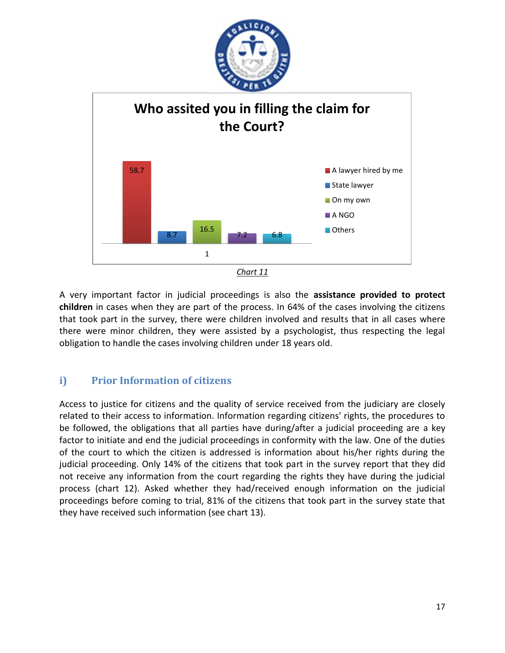



A very important factor in judicial proceedings is also the **assistance provided to protect children** in cases when they are part of the process. In 64% of the cases involving the citizens that took part in the survey, there were children involved and results that in all cases where there were minor children, they were assisted by a psychologist, thus respecting the legal obligation to handle the cases involving children under 18 years old.

### **i) Prior Information of citizens**

Access to justice for citizens and the quality of service received from the judiciary are closely related to their access to information. Information regarding citizens' rights, the procedures to be followed, the obligations that all parties have during/after a judicial proceeding are a key factor to initiate and end the judicial proceedings in conformity with the law. One of the duties of the court to which the citizen is addressed is information about his/her rights during the judicial proceeding. Only 14% of the citizens that took part in the survey report that they did not receive any information from the court regarding the rights they have during the judicial process (chart 12). Asked whether they had/received enough information on the judicial proceedings before coming to trial, 81% of the citizens that took part in the survey state that they have received such information (see chart 13).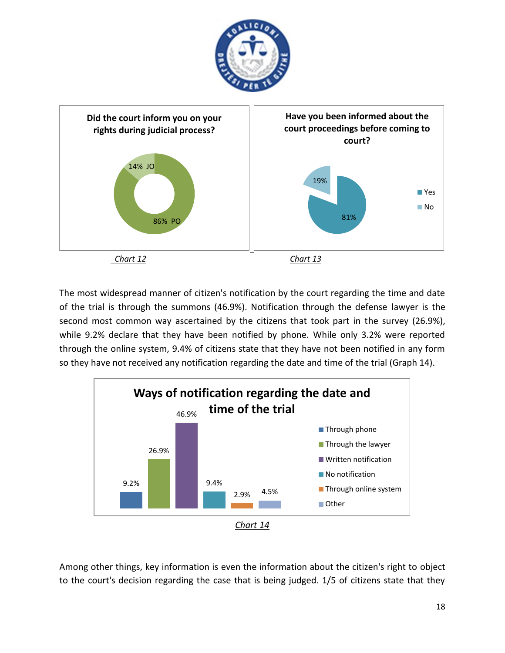



The most widespread manner of citizen's notification by the court regarding the time and date of the trial is through the summons (46.9%). Notification through the defense lawyer is the second most common way ascertained by the citizens that took part in the survey (26.9%), while 9.2% declare that they have been notified by phone. While only 3.2% were reported through the online system, 9.4% of citizens state that they have not been notified in any form so they have not received any notification regarding the date and time of the trial (Graph 14).



Among other things, key information is even the information about the citizen's right to object to the court's decision regarding the case that is being judged. 1/5 of citizens state that they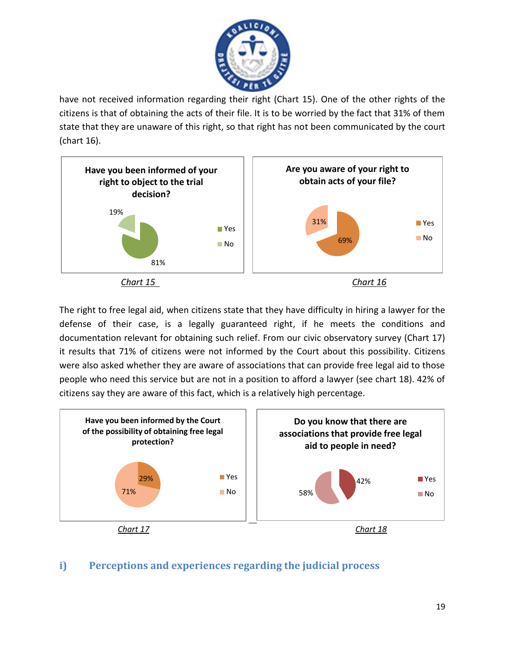

have not received information regarding their right (Chart 15). One of the other rights of the citizens is that of obtaining the acts of their file. It is to be worried by the fact that 31% of them state that they are unaware of this right, so that right has not been communicated by the court (chart 16).



The right to free legal aid, when citizens state that they have difficulty in hiring a lawyer for the defense of their case, is a legally guaranteed right, if he meets the conditions and documentation relevant for obtaining such relief. From our civic observatory survey (Chart 17) it results that 71% of citizens were not informed by the Court about this possibility. Citizens were also asked whether they are aware of associations that can provide free legal aid to those people who need this service but are not in a position to afford a lawyer (see chart 18). 42% of citizens say they are aware of this fact, which is a relatively high percentage.



### **i) Perceptions and experiences regarding the judicial process**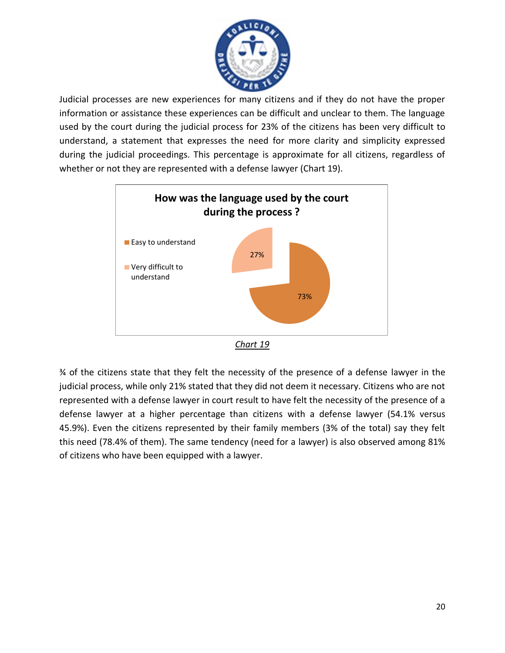

Judicial processes are new experiences for many citizens and if they do not have the proper information or assistance these experiences can be difficult and unclear to them. The language used by the court during the judicial process for 23% of the citizens has been very difficult to understand, a statement that expresses the need for more clarity and simplicity expressed during the judicial proceedings. This percentage is approximate for all citizens, regardless of whether or not they are represented with a defense lawyer (Chart 19).





¾ of the citizens state that they felt the necessity of the presence of a defense lawyer in the judicial process, while only 21% stated that they did not deem it necessary. Citizens who are not represented with a defense lawyer in court result to have felt the necessity of the presence of a defense lawyer at a higher percentage than citizens with a defense lawyer (54.1% versus 45.9%). Even the citizens represented by their family members (3% of the total) say they felt this need (78.4% of them). The same tendency (need for a lawyer) is also observed among 81% of citizens who have been equipped with a lawyer.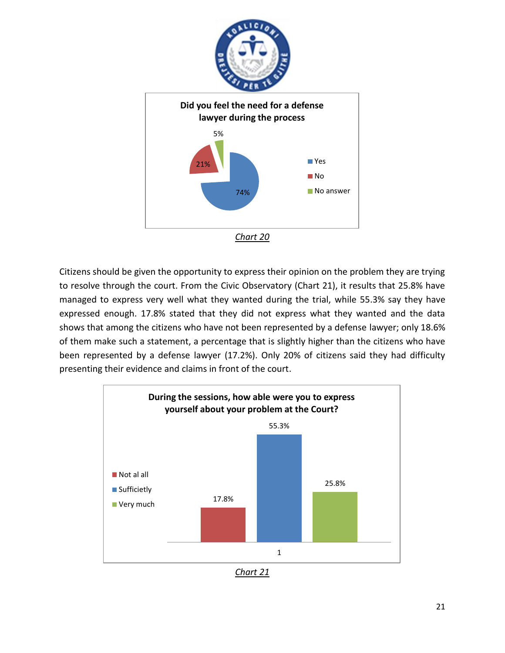



Citizens should be given the opportunity to express their opinion on the problem they are trying to resolve through the court. From the Civic Observatory (Chart 21), it results that 25.8% have managed to express very well what they wanted during the trial, while 55.3% say they have expressed enough. 17.8% stated that they did not express what they wanted and the data shows that among the citizens who have not been represented by a defense lawyer; only 18.6% of them make such a statement, a percentage that is slightly higher than the citizens who have been represented by a defense lawyer (17.2%). Only 20% of citizens said they had difficulty presenting their evidence and claims in front of the court.



*Chart 21*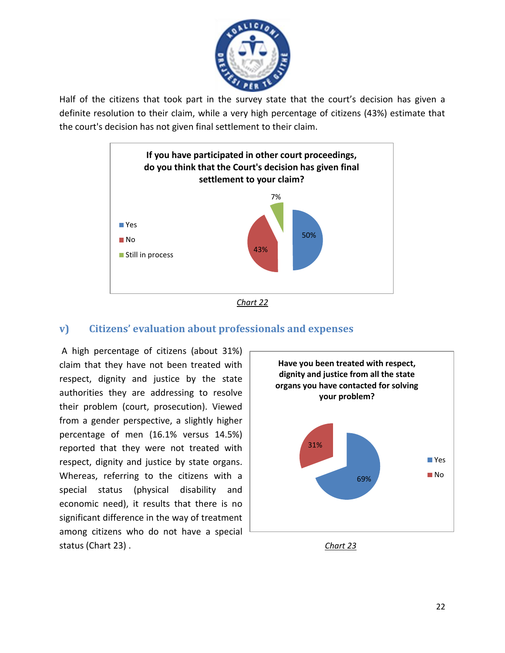

Half of the citizens that took part in the survey state that the court's decision has given a definite resolution to their claim, while a very high percentage of citizens (43%) estimate that the court's decision has not given final settlement to their claim.





#### **v) Citizens' evaluation about professionals and expenses**

A high percentage of citizens (about 31%) claim that they have not been treated with respect, dignity and justice by the state authorities they are addressing to resolve their problem (court, prosecution). Viewed from a gender perspective, a slightly higher percentage of men (16.1% versus 14.5%) reported that they were not treated with respect, dignity and justice by state organs. Whereas, referring to the citizens with a special status (physical disability and economic need), it results that there is no significant difference in the way of treatment among citizens who do not have a special status (Chart 23) . *Chart 23*



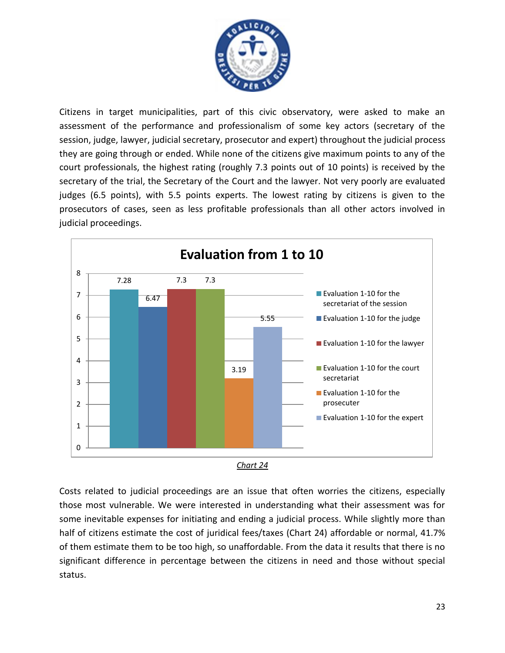

Citizens in target municipalities, part of this civic observatory, were asked to make an assessment of the performance and professionalism of some key actors (secretary of the session, judge, lawyer, judicial secretary, prosecutor and expert) throughout the judicial process they are going through or ended. While none of the citizens give maximum points to any of the court professionals, the highest rating (roughly 7.3 points out of 10 points) is received by the secretary of the trial, the Secretary of the Court and the lawyer. Not very poorly are evaluated judges (6.5 points), with 5.5 points experts. The lowest rating by citizens is given to the prosecutors of cases, seen as less profitable professionals than all other actors involved in judicial proceedings.





Costs related to judicial proceedings are an issue that often worries the citizens, especially those most vulnerable. We were interested in understanding what their assessment was for some inevitable expenses for initiating and ending a judicial process. While slightly more than half of citizens estimate the cost of juridical fees/taxes (Chart 24) affordable or normal, 41.7% of them estimate them to be too high, so unaffordable. From the data it results that there is no significant difference in percentage between the citizens in need and those without special status.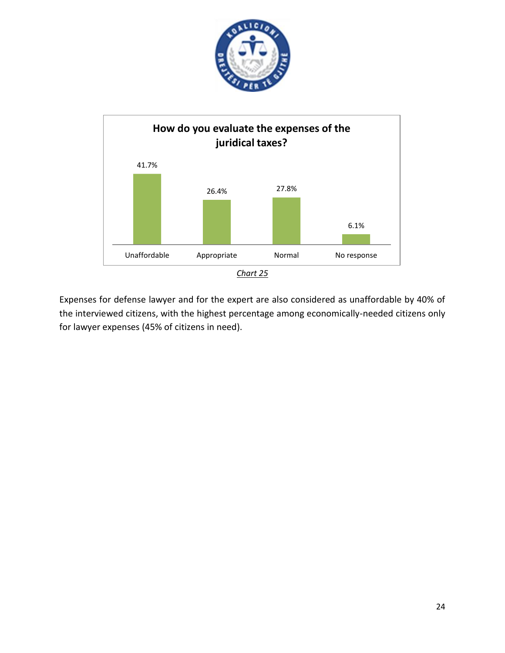



Expenses for defense lawyer and for the expert are also considered as unaffordable by 40% of the interviewed citizens, with the highest percentage among economically-needed citizens only for lawyer expenses (45% of citizens in need).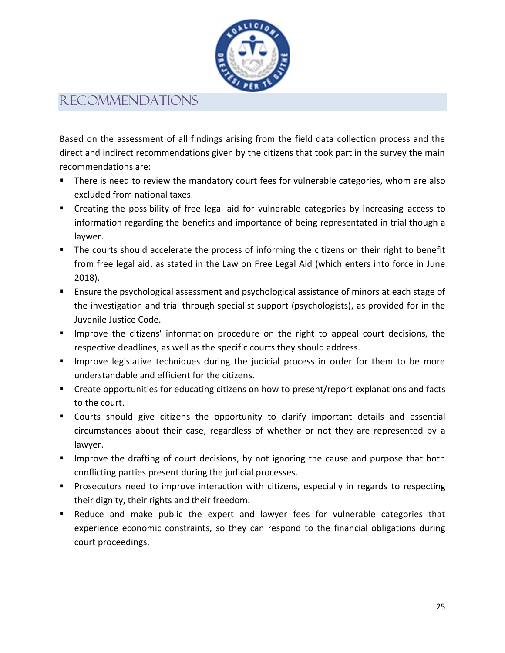

### Recommendations

Based on the assessment of all findings arising from the field data collection process and the direct and indirect recommendations given by the citizens that took part in the survey the main recommendations are:

- **There is need to review the mandatory court fees for vulnerable categories, whom are also** excluded from national taxes.
- Creating the possibility of free legal aid for vulnerable categories by increasing access to information regarding the benefits and importance of being representated in trial though a laywer.
- **The courts should accelerate the process of informing the citizens on their right to benefit** from free legal aid, as stated in the Law on Free Legal Aid (which enters into force in June 2018).
- **Ensure the psychological assessment and psychological assistance of minors at each stage of** the investigation and trial through specialist support (psychologists), as provided for in the Juvenile Justice Code.
- **IMPROVE the citizens' information procedure on the right to appeal court decisions, the** respective deadlines, as well as the specific courts they should address.
- **IMPROVE** legislative techniques during the judicial process in order for them to be more understandable and efficient for the citizens.
- Create opportunities for educating citizens on how to present/report explanations and facts to the court.
- Courts should give citizens the opportunity to clarify important details and essential circumstances about their case, regardless of whether or not they are represented by a lawyer.
- **IMPROVE THE DRAFT IMMOGET IMMOGET IMMOGET IMMOGET IMMOGET IMMOGET IMMOGET IMMOGET IMMOGET IMMOGET IMMOGET IMMOGET IMMOGET IMMOGET IMMOGET IMMOGET IMMOGET IMMOGET IMMOGET IMMOGET IMMOGET IMMOGET IMMOGET IMMOGET IMMOGET IMM** conflicting parties present during the judicial processes.
- **Prosecutors need to improve interaction with citizens, especially in regards to respecting** their dignity, their rights and their freedom.
- Reduce and make public the expert and lawyer fees for vulnerable categories that experience economic constraints, so they can respond to the financial obligations during court proceedings.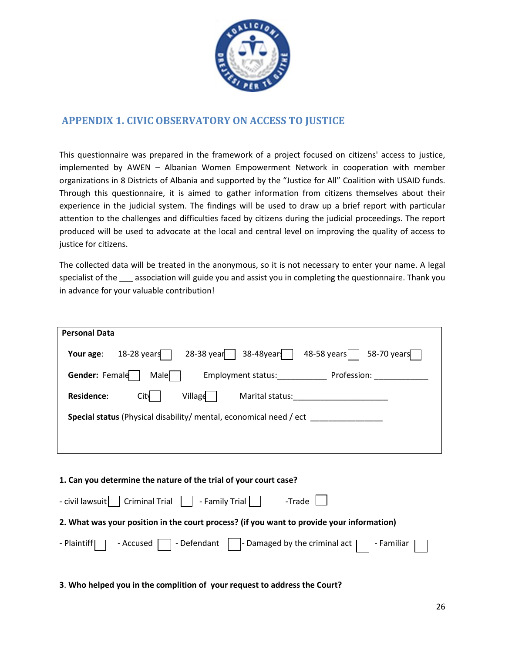

#### **APPENDIX 1. CIVIC OBSERVATORY ON ACCESS TO JUSTICE**

This questionnaire was prepared in the framework of a project focused on citizens' access to justice, implemented by AWEN – Albanian Women Empowerment Network in cooperation with member organizations in 8 Districts of Albania and supported by the "Justice for All" Coalition with USAID funds. Through this questionnaire, it is aimed to gather information from citizens themselves about their experience in the judicial system. The findings will be used to draw up a brief report with particular attention to the challenges and difficulties faced by citizens during the judicial proceedings. The report produced will be used to advocate at the local and central level on improving the quality of access to justice for citizens.

The collected data will be treated in the anonymous, so it is not necessary to enter your name. A legal specialist of the sassociation will guide you and assist you in completing the questionnaire. Thank you in advance for your valuable contribution!

| <b>Personal Data</b>                                                                              |  |  |  |
|---------------------------------------------------------------------------------------------------|--|--|--|
| $38-48$ years<br>28-38 year $\vert$<br>48-58 years<br>$58-70$ years<br>$18-28$ years<br>Your age: |  |  |  |
| Gender: Female<br>Profession:<br>Male <sub>1</sub><br>Employment status:                          |  |  |  |
| Village<br><b>Residence:</b><br>Marital status:<br>City                                           |  |  |  |
| <b>Special status</b> (Physical disability/ mental, economical need / ect                         |  |  |  |
|                                                                                                   |  |  |  |
|                                                                                                   |  |  |  |

| $\text{-}$ civil lawsuit Criminal Trial $\Box$ - Family Trial $\Box$ - Trade $\Box$                           |  |  |  |  |
|---------------------------------------------------------------------------------------------------------------|--|--|--|--|
| 2. What was your position in the court process? (if you want to provide your information)                     |  |  |  |  |
| - Plaintiff $\Box$ - Accused $\Box$ - Defendant $\Box$ - Damaged by the criminal act $\Box$ - Familiar $\Box$ |  |  |  |  |

**3**. **Who helped you in the complition of your request to address the Court?**

**1. Can you determine the nature of the trial of your court case?**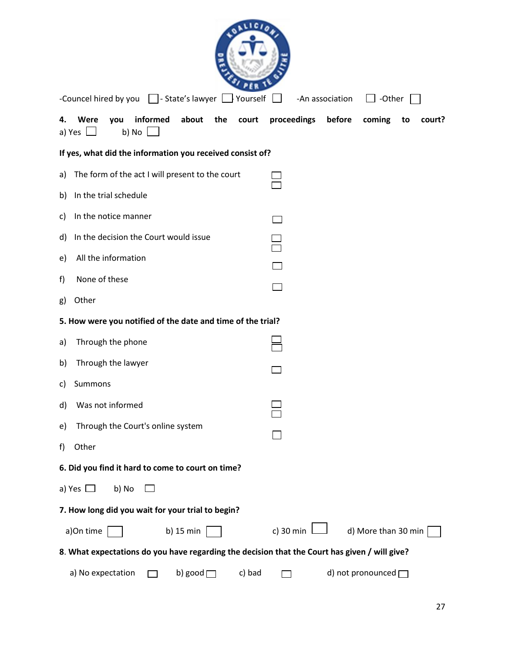| -Councel hired by you     - State's lawyer     Yourself                                       | -An association<br>$\Box$ -Other                |  |  |
|-----------------------------------------------------------------------------------------------|-------------------------------------------------|--|--|
| informed<br>about<br>Were<br>you<br>the<br>court<br>4.<br>a) Yes $\Box$<br>b) No $\Box$       | proceedings<br>before<br>coming<br>to<br>court? |  |  |
| If yes, what did the information you received consist of?                                     |                                                 |  |  |
| The form of the act I will present to the court<br>a)                                         |                                                 |  |  |
| In the trial schedule<br>b)                                                                   |                                                 |  |  |
| In the notice manner<br>C)                                                                    |                                                 |  |  |
| In the decision the Court would issue<br>d)                                                   |                                                 |  |  |
| All the information<br>e)                                                                     |                                                 |  |  |
| None of these<br>f)                                                                           |                                                 |  |  |
| Other<br>g)                                                                                   |                                                 |  |  |
| 5. How were you notified of the date and time of the trial?                                   |                                                 |  |  |
| Through the phone<br>a)                                                                       |                                                 |  |  |
| Through the lawyer<br>b)                                                                      |                                                 |  |  |
| Summons<br>c)                                                                                 |                                                 |  |  |
| Was not informed<br>d)                                                                        |                                                 |  |  |
| Through the Court's online system<br>e)                                                       |                                                 |  |  |
| Other<br>f)                                                                                   |                                                 |  |  |
| 6. Did you find it hard to come to court on time?                                             |                                                 |  |  |
| a) Yes $\Box$<br>b) No                                                                        |                                                 |  |  |
| 7. How long did you wait for your trial to begin?                                             |                                                 |  |  |
| a)On time<br>b) 15 min                                                                        | c) 30 min $\lfloor$<br>d) More than 30 min      |  |  |
| 8. What expectations do you have regarding the decision that the Court has given / will give? |                                                 |  |  |
| b) good $\Box$<br>a) No expectation<br>c) bad                                                 | d) not pronounced $\Box$                        |  |  |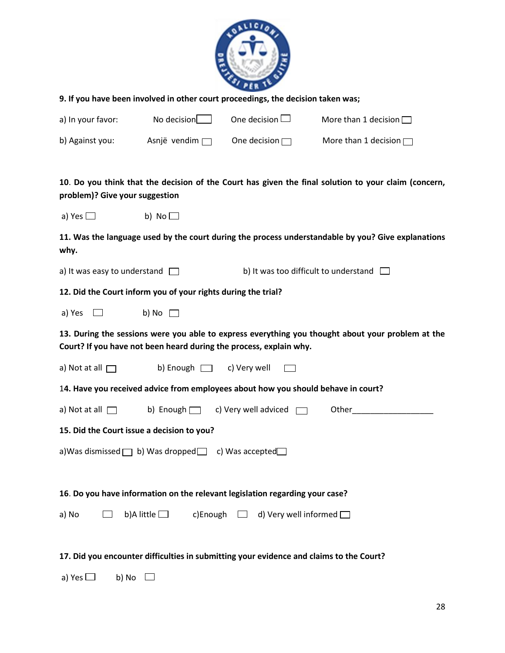

| 9. If you have been involved in other court proceedings, the decision taken was;                                                                                        |                                                               |                                                                                   |                                                                                                      |  |
|-------------------------------------------------------------------------------------------------------------------------------------------------------------------------|---------------------------------------------------------------|-----------------------------------------------------------------------------------|------------------------------------------------------------------------------------------------------|--|
| a) In your favor:                                                                                                                                                       | No decision $\Box$                                            | One decision $\square$                                                            | More than 1 decision $\Box$                                                                          |  |
| b) Against you:                                                                                                                                                         | Asnjë vendim $\Box$                                           | One decision $\Box$                                                               | More than 1 decision $\Box$                                                                          |  |
|                                                                                                                                                                         |                                                               |                                                                                   |                                                                                                      |  |
| problem)? Give your suggestion                                                                                                                                          |                                                               |                                                                                   | 10. Do you think that the decision of the Court has given the final solution to your claim (concern, |  |
| a) Yes $\Box$                                                                                                                                                           | b) No $\Box$                                                  |                                                                                   |                                                                                                      |  |
| why.                                                                                                                                                                    |                                                               |                                                                                   | 11. Was the language used by the court during the process understandable by you? Give explanations   |  |
| b) It was too difficult to understand $\Box$<br>a) It was easy to understand $\Box$                                                                                     |                                                               |                                                                                   |                                                                                                      |  |
|                                                                                                                                                                         | 12. Did the Court inform you of your rights during the trial? |                                                                                   |                                                                                                      |  |
| a) Yes $\Box$                                                                                                                                                           | b) No $\Box$                                                  |                                                                                   |                                                                                                      |  |
| 13. During the sessions were you able to express everything you thought about your problem at the<br>Court? If you have not been heard during the process, explain why. |                                                               |                                                                                   |                                                                                                      |  |
| a) Not at all $\Box$                                                                                                                                                    | b) Enough $\Box$                                              | c) Very well                                                                      |                                                                                                      |  |
|                                                                                                                                                                         |                                                               | 14. Have you received advice from employees about how you should behave in court? |                                                                                                      |  |
| a) Not at all $\Box$                                                                                                                                                    |                                                               | b) Enough $\Box$ c) Very well adviced $\Box$                                      | Other                                                                                                |  |
| 15. Did the Court issue a decision to you?                                                                                                                              |                                                               |                                                                                   |                                                                                                      |  |
| a) Was dismissed $\Box$ b) Was dropped $\Box$ c) Was accepted $\Box$                                                                                                    |                                                               |                                                                                   |                                                                                                      |  |
|                                                                                                                                                                         |                                                               |                                                                                   |                                                                                                      |  |
| 16. Do you have information on the relevant legislation regarding your case?                                                                                            |                                                               |                                                                                   |                                                                                                      |  |
| a) No                                                                                                                                                                   | b)A little $\Box$<br>c)Enough                                 | d) Very well informed $\Box$                                                      |                                                                                                      |  |
| 17. Did you encounter difficulties in submitting your evidence and claims to the Court?                                                                                 |                                                               |                                                                                   |                                                                                                      |  |

a) Yes  $\Box$  b) No  $\Box$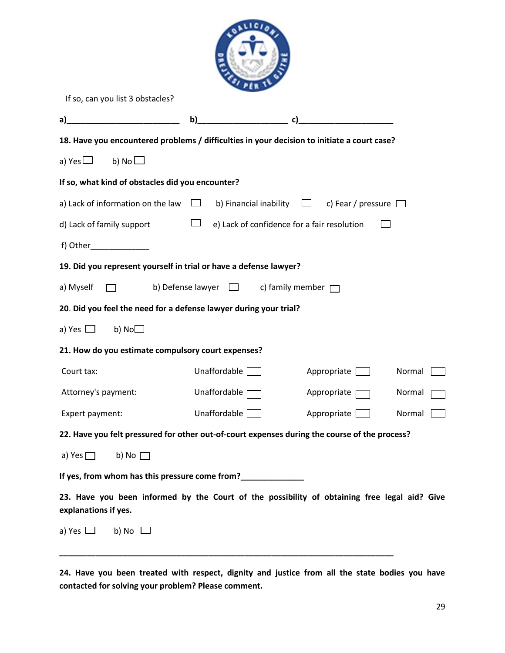| If so, can you list 3 obstacles?                                                                                     |                                                                         |                                                         |        |
|----------------------------------------------------------------------------------------------------------------------|-------------------------------------------------------------------------|---------------------------------------------------------|--------|
| <u> 1990 - Johann Barbara, martxa</u><br>a)                                                                          | $\mathbf{b}$ )                                                          |                                                         |        |
| 18. Have you encountered problems / difficulties in your decision to initiate a court case?                          |                                                                         |                                                         |        |
| b) No $\Box$<br>a) Yes $\Box$                                                                                        |                                                                         |                                                         |        |
| If so, what kind of obstacles did you encounter?                                                                     |                                                                         |                                                         |        |
| a) Lack of information on the law $\square$                                                                          |                                                                         | b) Financial inability $\Box$ c) Fear / pressure $\Box$ |        |
| d) Lack of family support                                                                                            | $\overline{\phantom{a}}$<br>e) Lack of confidence for a fair resolution |                                                         |        |
|                                                                                                                      |                                                                         |                                                         |        |
| 19. Did you represent yourself in trial or have a defense lawyer?                                                    |                                                                         |                                                         |        |
| a) Myself                                                                                                            | b) Defense lawyer $\Box$ c) family member $\Box$                        |                                                         |        |
| 20. Did you feel the need for a defense lawyer during your trial?                                                    |                                                                         |                                                         |        |
| b) $No$<br>a) Yes $\Box$                                                                                             |                                                                         |                                                         |        |
| 21. How do you estimate compulsory court expenses?                                                                   |                                                                         |                                                         |        |
| Court tax:                                                                                                           | Unaffordable                                                            | Appropriate                                             | Normal |
| Attorney's payment:                                                                                                  | Unaffordable                                                            | Appropriate                                             | Normal |
| Expert payment:                                                                                                      | Unaffordable [                                                          | Appropriate                                             | Normal |
| 22. Have you felt pressured for other out-of-court expenses during the course of the process?                        |                                                                         |                                                         |        |
| a) Yes $\Box$<br>b) No $\Box$                                                                                        |                                                                         |                                                         |        |
| If yes, from whom has this pressure come from?                                                                       |                                                                         |                                                         |        |
| 23. Have you been informed by the Court of the possibility of obtaining free legal aid? Give<br>explanations if yes. |                                                                         |                                                         |        |
| a) Yes $\Box$<br>b) No $\Box$                                                                                        |                                                                         |                                                         |        |

**24. Have you been treated with respect, dignity and justice from all the state bodies you have contacted for solving your problem? Please comment.**